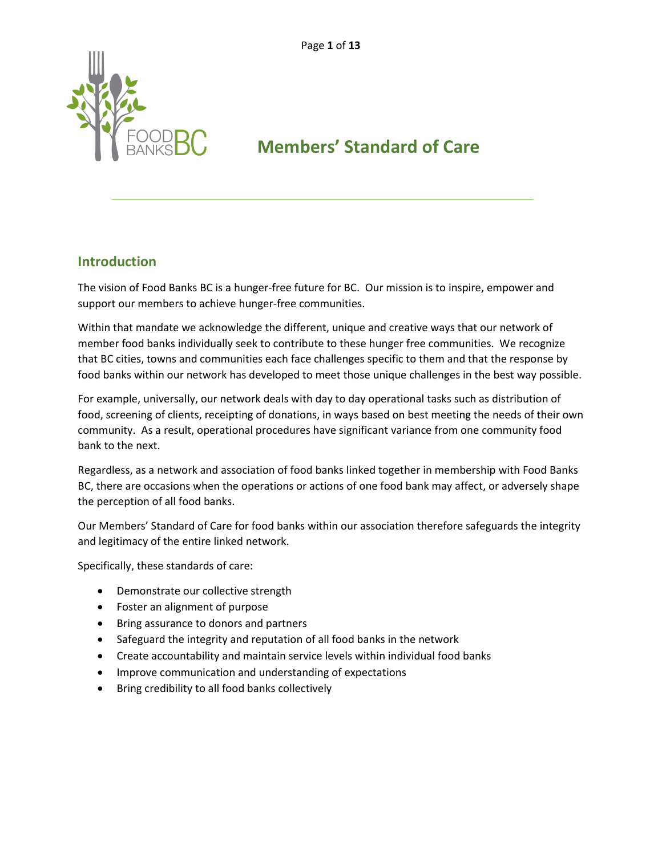

# **Members' Standard of Care**

#### **Introduction**

The vision of Food Banks BC is a hunger-free future for BC. Our mission is to inspire, empower and support our members to achieve hunger-free communities.

Within that mandate we acknowledge the different, unique and creative ways that our network of member food banks individually seek to contribute to these hunger free communities. We recognize that BC cities, towns and communities each face challenges specific to them and that the response by food banks within our network has developed to meet those unique challenges in the best way possible.

For example, universally, our network deals with day to day operational tasks such as distribution of food, screening of clients, receipting of donations, in ways based on best meeting the needs of their own community. As a result, operational procedures have significant variance from one community food bank to the next.

Regardless, as a network and association of food banks linked together in membership with Food Banks BC, there are occasions when the operations or actions of one food bank may affect, or adversely shape the perception of all food banks.

Our Members' Standard of Care for food banks within our association therefore safeguards the integrity and legitimacy of the entire linked network.

Specifically, these standards of care:

- Demonstrate our collective strength
- Foster an alignment of purpose
- Bring assurance to donors and partners
- Safeguard the integrity and reputation of all food banks in the network
- Create accountability and maintain service levels within individual food banks
- Improve communication and understanding of expectations
- Bring credibility to all food banks collectively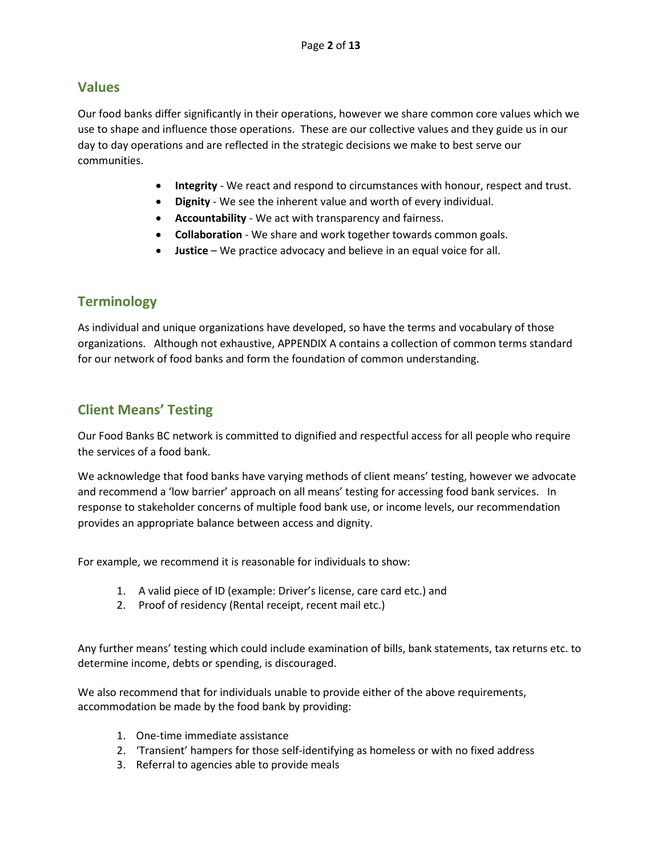#### **Values**

Our food banks differ significantly in their operations, however we share common core values which we use to shape and influence those operations. These are our collective values and they guide us in our day to day operations and are reflected in the strategic decisions we make to best serve our communities.

- **Integrity** We react and respond to circumstances with honour, respect and trust.
- **Dignity** We see the inherent value and worth of every individual.
- **Accountability** We act with transparency and fairness.
- **Collaboration** We share and work together towards common goals.
- **Justice** We practice advocacy and believe in an equal voice for all.

# **Terminology**

As individual and unique organizations have developed, so have the terms and vocabulary of those organizations. Although not exhaustive, APPENDIX A contains a collection of common terms standard for our network of food banks and form the foundation of common understanding.

# **Client Means' Testing**

Our Food Banks BC network is committed to dignified and respectful access for all people who require the services of a food bank.

We acknowledge that food banks have varying methods of client means' testing, however we advocate and recommend a 'low barrier' approach on all means' testing for accessing food bank services. In response to stakeholder concerns of multiple food bank use, or income levels, our recommendation provides an appropriate balance between access and dignity.

For example, we recommend it is reasonable for individuals to show:

- 1. A valid piece of ID (example: Driver's license, care card etc.) and
- 2. Proof of residency (Rental receipt, recent mail etc.)

Any further means' testing which could include examination of bills, bank statements, tax returns etc. to determine income, debts or spending, is discouraged.

We also recommend that for individuals unable to provide either of the above requirements, accommodation be made by the food bank by providing:

- 1. One-time immediate assistance
- 2. 'Transient' hampers for those self-identifying as homeless or with no fixed address
- 3. Referral to agencies able to provide meals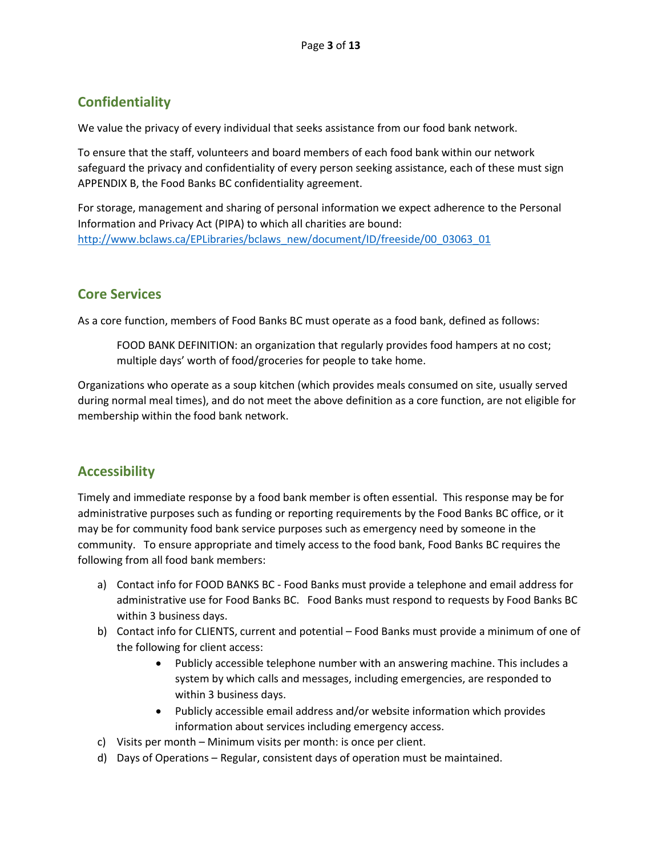# **Confidentiality**

We value the privacy of every individual that seeks assistance from our food bank network.

To ensure that the staff, volunteers and board members of each food bank within our network safeguard the privacy and confidentiality of every person seeking assistance, each of these must sign APPENDIX B, the Food Banks BC confidentiality agreement.

For storage, management and sharing of personal information we expect adherence to the Personal Information and Privacy Act (PIPA) to which all charities are bound: [http://www.bclaws.ca/EPLibraries/bclaws\\_new/document/ID/freeside/00\\_03063\\_01](http://www.bclaws.ca/EPLibraries/bclaws_new/document/ID/freeside/00_03063_01)

# **Core Services**

As a core function, members of Food Banks BC must operate as a food bank, defined as follows:

FOOD BANK DEFINITION: an organization that regularly provides food hampers at no cost; multiple days' worth of food/groceries for people to take home.

Organizations who operate as a soup kitchen (which provides meals consumed on site, usually served during normal meal times), and do not meet the above definition as a core function, are not eligible for membership within the food bank network.

## **Accessibility**

Timely and immediate response by a food bank member is often essential. This response may be for administrative purposes such as funding or reporting requirements by the Food Banks BC office, or it may be for community food bank service purposes such as emergency need by someone in the community. To ensure appropriate and timely access to the food bank, Food Banks BC requires the following from all food bank members:

- a) Contact info for FOOD BANKS BC Food Banks must provide a telephone and email address for administrative use for Food Banks BC. Food Banks must respond to requests by Food Banks BC within 3 business days.
- b) Contact info for CLIENTS, current and potential Food Banks must provide a minimum of one of the following for client access:
	- Publicly accessible telephone number with an answering machine. This includes a system by which calls and messages, including emergencies, are responded to within 3 business days.
	- Publicly accessible email address and/or website information which provides information about services including emergency access.
- c) Visits per month Minimum visits per month: is once per client.
- d) Days of Operations Regular, consistent days of operation must be maintained.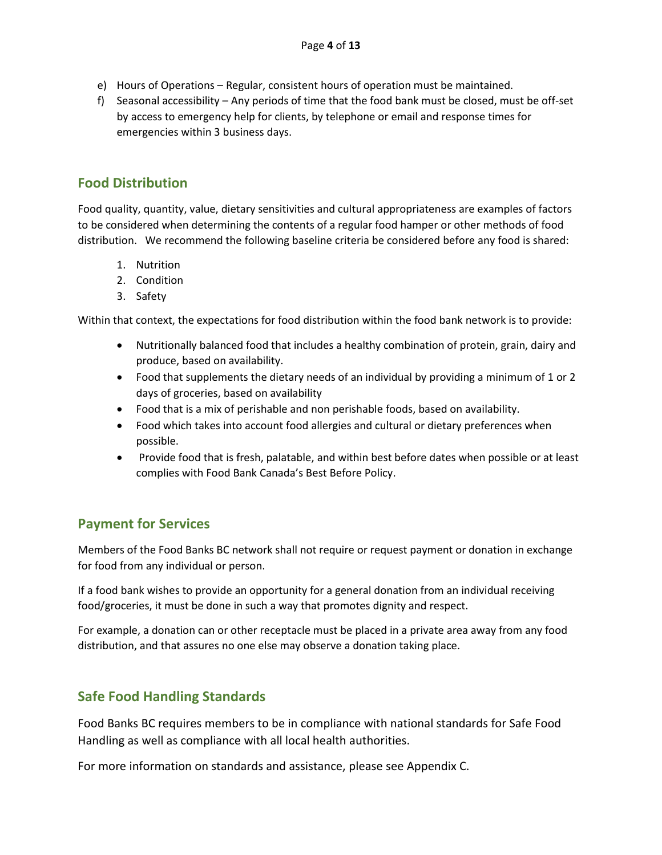- e) Hours of Operations Regular, consistent hours of operation must be maintained.
- f) Seasonal accessibility Any periods of time that the food bank must be closed, must be off-set by access to emergency help for clients, by telephone or email and response times for emergencies within 3 business days.

## **Food Distribution**

Food quality, quantity, value, dietary sensitivities and cultural appropriateness are examples of factors to be considered when determining the contents of a regular food hamper or other methods of food distribution. We recommend the following baseline criteria be considered before any food is shared:

- 1. Nutrition
- 2. Condition
- 3. Safety

Within that context, the expectations for food distribution within the food bank network is to provide:

- Nutritionally balanced food that includes a healthy combination of protein, grain, dairy and produce, based on availability.
- Food that supplements the dietary needs of an individual by providing a minimum of 1 or 2 days of groceries, based on availability
- Food that is a mix of perishable and non perishable foods, based on availability.
- Food which takes into account food allergies and cultural or dietary preferences when possible.
- Provide food that is fresh, palatable, and within best before dates when possible or at least complies with Food Bank Canada's Best Before Policy.

#### **Payment for Services**

Members of the Food Banks BC network shall not require or request payment or donation in exchange for food from any individual or person.

If a food bank wishes to provide an opportunity for a general donation from an individual receiving food/groceries, it must be done in such a way that promotes dignity and respect.

For example, a donation can or other receptacle must be placed in a private area away from any food distribution, and that assures no one else may observe a donation taking place.

## **Safe Food Handling Standards**

Food Banks BC requires members to be in compliance with national standards for Safe Food Handling as well as compliance with all local health authorities.

For more information on standards and assistance, please see Appendix C.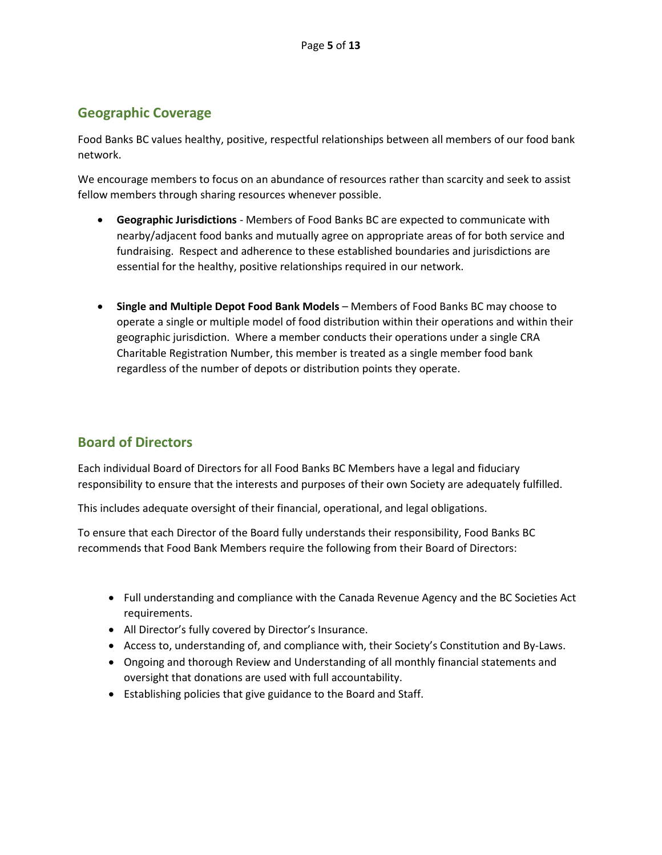#### **Geographic Coverage**

Food Banks BC values healthy, positive, respectful relationships between all members of our food bank network.

We encourage members to focus on an abundance of resources rather than scarcity and seek to assist fellow members through sharing resources whenever possible.

- **Geographic Jurisdictions** Members of Food Banks BC are expected to communicate with nearby/adjacent food banks and mutually agree on appropriate areas of for both service and fundraising. Respect and adherence to these established boundaries and jurisdictions are essential for the healthy, positive relationships required in our network.
- **Single and Multiple Depot Food Bank Models**  Members of Food Banks BC may choose to operate a single or multiple model of food distribution within their operations and within their geographic jurisdiction. Where a member conducts their operations under a single CRA Charitable Registration Number, this member is treated as a single member food bank regardless of the number of depots or distribution points they operate.

## **Board of Directors**

Each individual Board of Directors for all Food Banks BC Members have a legal and fiduciary responsibility to ensure that the interests and purposes of their own Society are adequately fulfilled.

This includes adequate oversight of their financial, operational, and legal obligations.

To ensure that each Director of the Board fully understands their responsibility, Food Banks BC recommends that Food Bank Members require the following from their Board of Directors:

- Full understanding and compliance with the Canada Revenue Agency and the BC Societies Act requirements.
- All Director's fully covered by Director's Insurance.
- Access to, understanding of, and compliance with, their Society's Constitution and By-Laws.
- Ongoing and thorough Review and Understanding of all monthly financial statements and oversight that donations are used with full accountability.
- Establishing policies that give guidance to the Board and Staff.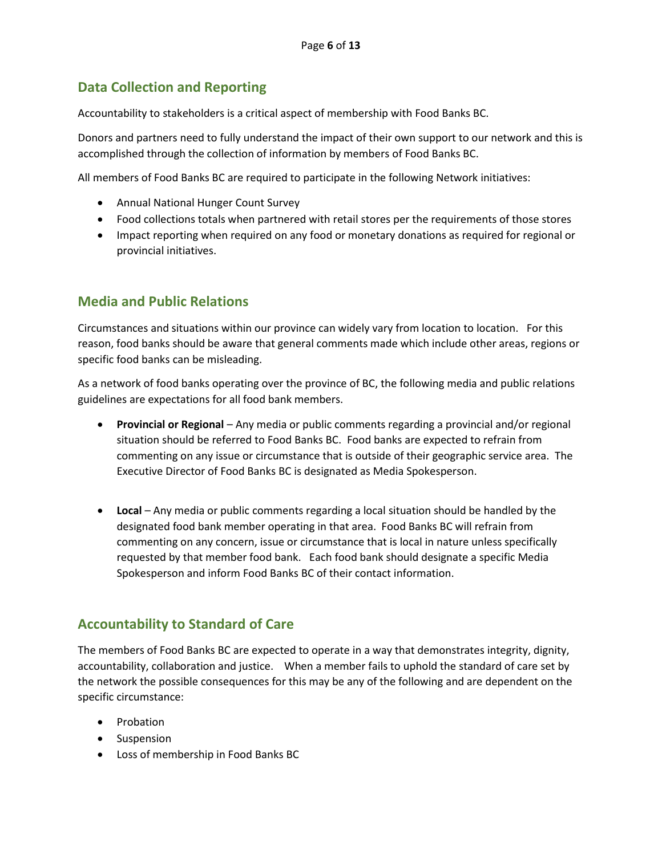### **Data Collection and Reporting**

Accountability to stakeholders is a critical aspect of membership with Food Banks BC.

Donors and partners need to fully understand the impact of their own support to our network and this is accomplished through the collection of information by members of Food Banks BC.

All members of Food Banks BC are required to participate in the following Network initiatives:

- Annual National Hunger Count Survey
- Food collections totals when partnered with retail stores per the requirements of those stores
- Impact reporting when required on any food or monetary donations as required for regional or provincial initiatives.

## **Media and Public Relations**

Circumstances and situations within our province can widely vary from location to location. For this reason, food banks should be aware that general comments made which include other areas, regions or specific food banks can be misleading.

As a network of food banks operating over the province of BC, the following media and public relations guidelines are expectations for all food bank members.

- **Provincial or Regional** Any media or public comments regarding a provincial and/or regional situation should be referred to Food Banks BC. Food banks are expected to refrain from commenting on any issue or circumstance that is outside of their geographic service area. The Executive Director of Food Banks BC is designated as Media Spokesperson.
- **Local** Any media or public comments regarding a local situation should be handled by the designated food bank member operating in that area. Food Banks BC will refrain from commenting on any concern, issue or circumstance that is local in nature unless specifically requested by that member food bank. Each food bank should designate a specific Media Spokesperson and inform Food Banks BC of their contact information.

#### **Accountability to Standard of Care**

The members of Food Banks BC are expected to operate in a way that demonstrates integrity, dignity, accountability, collaboration and justice. When a member fails to uphold the standard of care set by the network the possible consequences for this may be any of the following and are dependent on the specific circumstance:

- Probation
- Suspension
- Loss of membership in Food Banks BC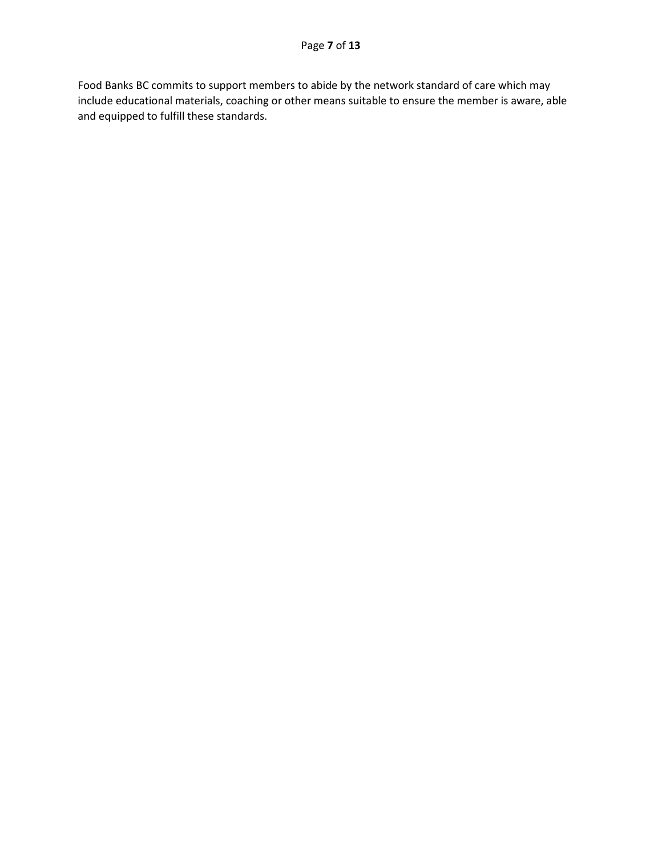Food Banks BC commits to support members to abide by the network standard of care which may include educational materials, coaching or other means suitable to ensure the member is aware, able and equipped to fulfill these standards.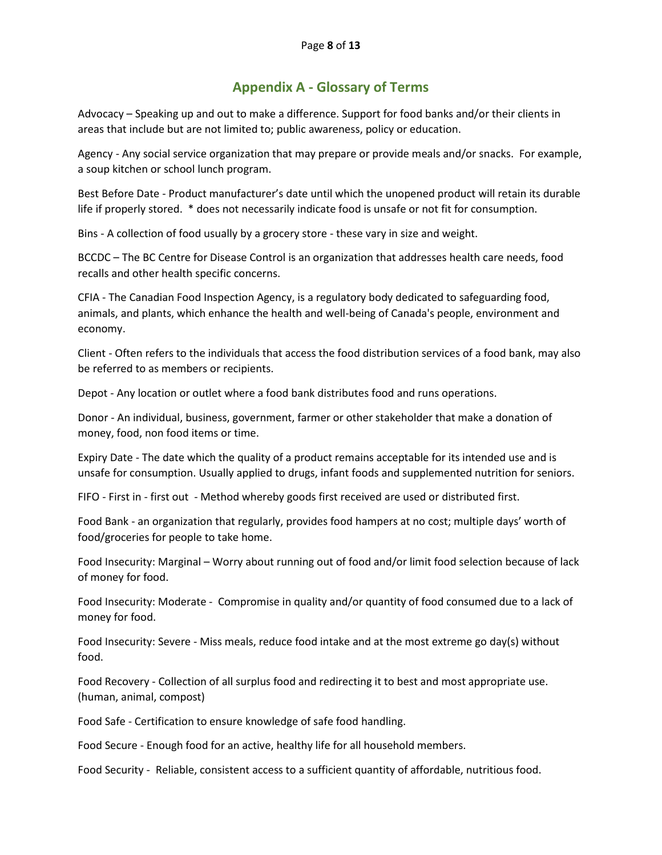#### **Appendix A - Glossary of Terms**

Advocacy – Speaking up and out to make a difference. Support for food banks and/or their clients in areas that include but are not limited to; public awareness, policy or education.

Agency - Any social service organization that may prepare or provide meals and/or snacks. For example, a soup kitchen or school lunch program.

Best Before Date - Product manufacturer's date until which the unopened product will retain its durable life if properly stored. \* does not necessarily indicate food is unsafe or not fit for consumption.

Bins - A collection of food usually by a grocery store - these vary in size and weight.

BCCDC – The BC Centre for Disease Control is an organization that addresses health care needs, food recalls and other health specific concerns.

CFIA - The Canadian Food Inspection Agency, is a regulatory body dedicated to safeguarding food, animals, and plants, which enhance the health and well-being of Canada's people, environment and economy.

Client - Often refers to the individuals that access the food distribution services of a food bank, may also be referred to as members or recipients.

Depot - Any location or outlet where a food bank distributes food and runs operations.

Donor - An individual, business, government, farmer or other stakeholder that make a donation of money, food, non food items or time.

Expiry Date - The date which the quality of a product remains acceptable for its intended use and is unsafe for consumption. Usually applied to drugs, infant foods and supplemented nutrition for seniors.

FIFO - First in - first out - Method whereby goods first received are used or distributed first.

Food Bank - an organization that regularly, provides food hampers at no cost; multiple days' worth of food/groceries for people to take home.

Food Insecurity: Marginal – Worry about running out of food and/or limit food selection because of lack of money for food.

Food Insecurity: Moderate - Compromise in quality and/or quantity of food consumed due to a lack of money for food.

Food Insecurity: Severe - Miss meals, reduce food intake and at the most extreme go day(s) without food.

Food Recovery - Collection of all surplus food and redirecting it to best and most appropriate use. (human, animal, compost)

Food Safe - Certification to ensure knowledge of safe food handling.

Food Secure - Enough food for an active, healthy life for all household members.

Food Security - Reliable, consistent access to a sufficient quantity of affordable, nutritious food.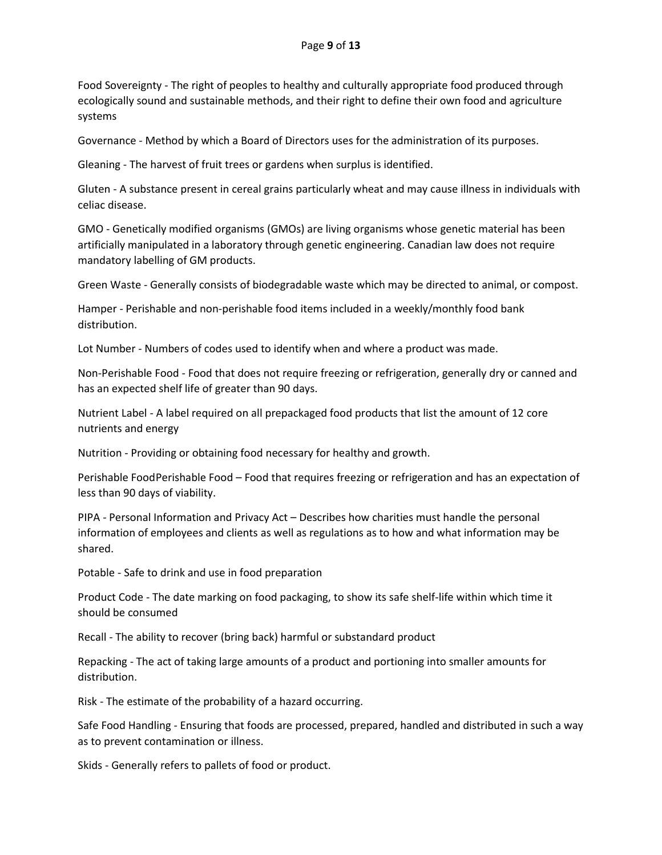Food Sovereignty - The right of peoples to healthy and culturally appropriate food produced through ecologically sound and sustainable methods, and their right to define their own food and agriculture systems

Governance - Method by which a Board of Directors uses for the administration of its purposes.

Gleaning - The harvest of fruit trees or gardens when surplus is identified.

Gluten - A substance present in cereal grains particularly wheat and may cause illness in individuals with celiac disease.

GMO - Genetically modified organisms (GMOs) are living organisms whose genetic material has been artificially manipulated in a laboratory through genetic engineering. Canadian law does not require mandatory labelling of GM products.

Green Waste - Generally consists of biodegradable waste which may be directed to animal, or compost.

Hamper - Perishable and non-perishable food items included in a weekly/monthly food bank distribution.

Lot Number - Numbers of codes used to identify when and where a product was made.

Non-Perishable Food - Food that does not require freezing or refrigeration, generally dry or canned and has an expected shelf life of greater than 90 days.

Nutrient Label - A label required on all prepackaged food products that list the amount of 12 core nutrients and energy

Nutrition - Providing or obtaining food necessary for healthy and growth.

Perishable FoodPerishable Food – Food that requires freezing or refrigeration and has an expectation of less than 90 days of viability.

PIPA - Personal Information and Privacy Act – Describes how charities must handle the personal information of employees and clients as well as regulations as to how and what information may be shared.

Potable - Safe to drink and use in food preparation

Product Code - The date marking on food packaging, to show its safe shelf-life within which time it should be consumed

Recall - The ability to recover (bring back) harmful or substandard product

Repacking - The act of taking large amounts of a product and portioning into smaller amounts for distribution.

Risk - The estimate of the probability of a hazard occurring.

Safe Food Handling - Ensuring that foods are processed, prepared, handled and distributed in such a way as to prevent contamination or illness.

Skids - Generally refers to pallets of food or product.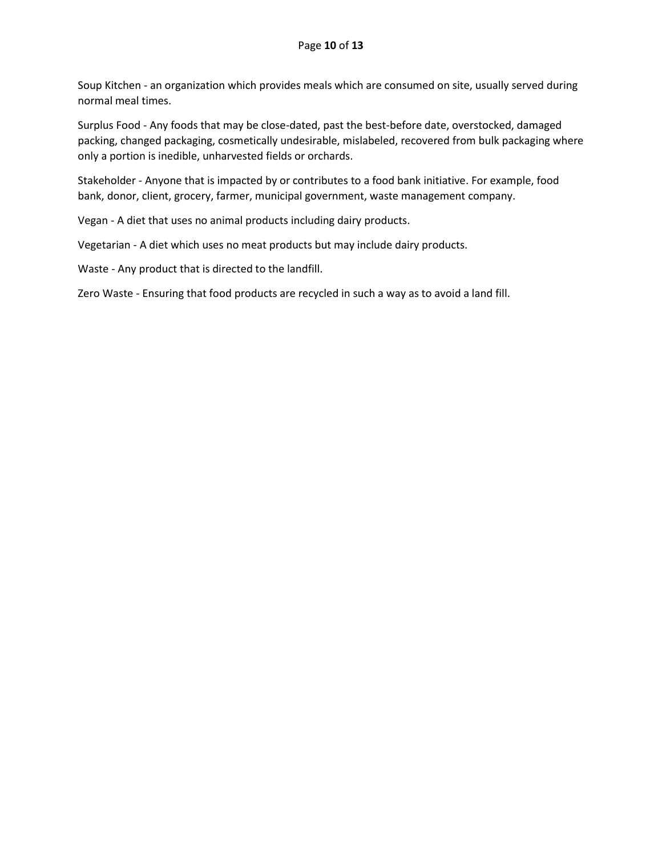Soup Kitchen - an organization which provides meals which are consumed on site, usually served during normal meal times.

Surplus Food - Any foods that may be close-dated, past the best-before date, overstocked, damaged packing, changed packaging, cosmetically undesirable, mislabeled, recovered from bulk packaging where only a portion is inedible, unharvested fields or orchards.

Stakeholder - Anyone that is impacted by or contributes to a food bank initiative. For example, food bank, donor, client, grocery, farmer, municipal government, waste management company.

Vegan - A diet that uses no animal products including dairy products.

Vegetarian - A diet which uses no meat products but may include dairy products.

Waste - Any product that is directed to the landfill.

Zero Waste - Ensuring that food products are recycled in such a way as to avoid a land fill.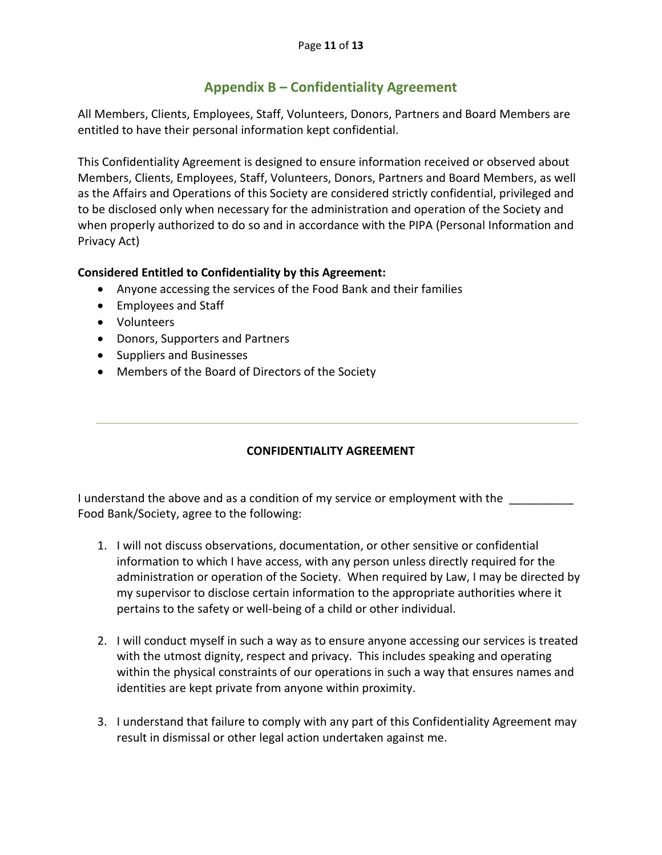# **Appendix B – Confidentiality Agreement**

All Members, Clients, Employees, Staff, Volunteers, Donors, Partners and Board Members are entitled to have their personal information kept confidential.

This Confidentiality Agreement is designed to ensure information received or observed about Members, Clients, Employees, Staff, Volunteers, Donors, Partners and Board Members, as well as the Affairs and Operations of this Society are considered strictly confidential, privileged and to be disclosed only when necessary for the administration and operation of the Society and when properly authorized to do so and in accordance with the PIPA (Personal Information and Privacy Act)

#### **Considered Entitled to Confidentiality by this Agreement:**

- Anyone accessing the services of the Food Bank and their families
- Employees and Staff
- Volunteers
- Donors, Supporters and Partners
- Suppliers and Businesses
- Members of the Board of Directors of the Society

#### **CONFIDENTIALITY AGREEMENT**

I understand the above and as a condition of my service or employment with the Food Bank/Society, agree to the following:

- 1. I will not discuss observations, documentation, or other sensitive or confidential information to which I have access, with any person unless directly required for the administration or operation of the Society. When required by Law, I may be directed by my supervisor to disclose certain information to the appropriate authorities where it pertains to the safety or well-being of a child or other individual.
- 2. I will conduct myself in such a way as to ensure anyone accessing our services is treated with the utmost dignity, respect and privacy. This includes speaking and operating within the physical constraints of our operations in such a way that ensures names and identities are kept private from anyone within proximity.
- 3. I understand that failure to comply with any part of this Confidentiality Agreement may result in dismissal or other legal action undertaken against me.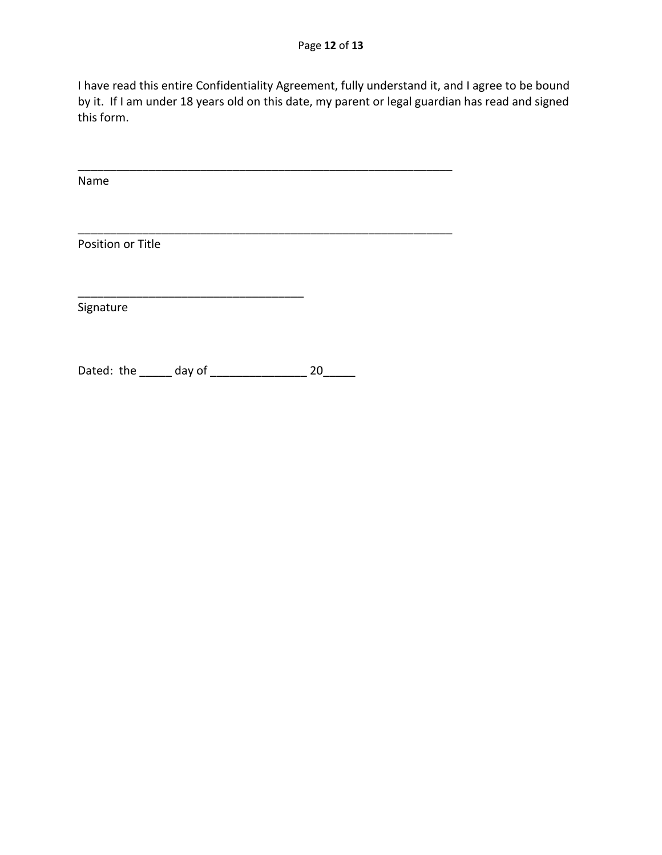I have read this entire Confidentiality Agreement, fully understand it, and I agree to be bound by it. If I am under 18 years old on this date, my parent or legal guardian has read and signed this form.

\_\_\_\_\_\_\_\_\_\_\_\_\_\_\_\_\_\_\_\_\_\_\_\_\_\_\_\_\_\_\_\_\_\_\_\_\_\_\_\_\_\_\_\_\_\_\_\_\_\_\_\_\_\_\_\_\_\_

\_\_\_\_\_\_\_\_\_\_\_\_\_\_\_\_\_\_\_\_\_\_\_\_\_\_\_\_\_\_\_\_\_\_\_\_\_\_\_\_\_\_\_\_\_\_\_\_\_\_\_\_\_\_\_\_\_\_

Name

Position or Title

Signature

Dated: the \_\_\_\_\_\_ day of \_\_\_\_\_\_\_\_\_\_\_\_\_\_\_\_\_\_\_\_ 20\_\_\_\_\_\_

\_\_\_\_\_\_\_\_\_\_\_\_\_\_\_\_\_\_\_\_\_\_\_\_\_\_\_\_\_\_\_\_\_\_\_